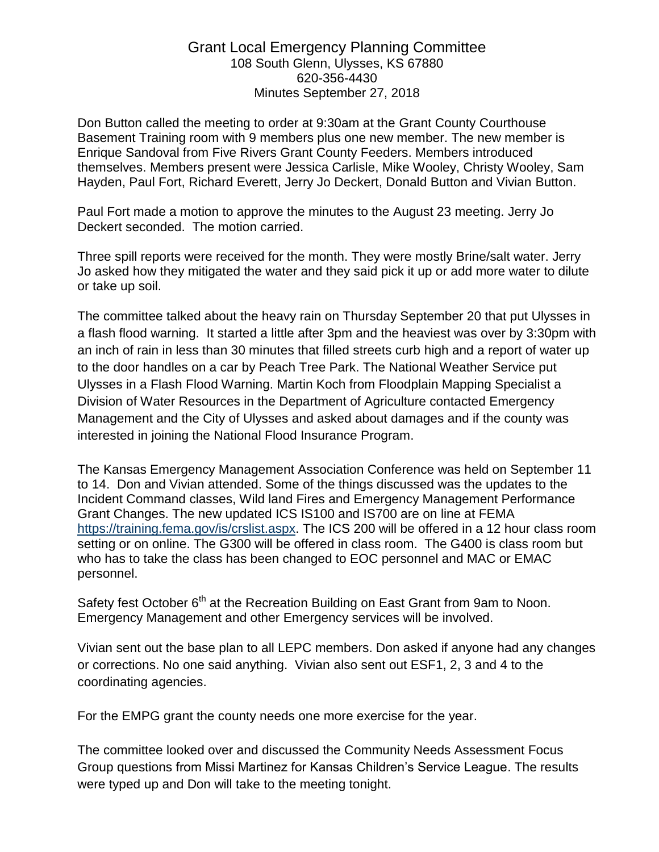## Grant Local Emergency Planning Committee 108 South Glenn, Ulysses, KS 67880 620-356-4430 Minutes September 27, 2018

Don Button called the meeting to order at 9:30am at the Grant County Courthouse Basement Training room with 9 members plus one new member. The new member is Enrique Sandoval from Five Rivers Grant County Feeders. Members introduced themselves. Members present were Jessica Carlisle, Mike Wooley, Christy Wooley, Sam Hayden, Paul Fort, Richard Everett, Jerry Jo Deckert, Donald Button and Vivian Button.

Paul Fort made a motion to approve the minutes to the August 23 meeting. Jerry Jo Deckert seconded. The motion carried.

Three spill reports were received for the month. They were mostly Brine/salt water. Jerry Jo asked how they mitigated the water and they said pick it up or add more water to dilute or take up soil.

The committee talked about the heavy rain on Thursday September 20 that put Ulysses in a flash flood warning. It started a little after 3pm and the heaviest was over by 3:30pm with an inch of rain in less than 30 minutes that filled streets curb high and a report of water up to the door handles on a car by Peach Tree Park. The National Weather Service put Ulysses in a Flash Flood Warning. Martin Koch from Floodplain Mapping Specialist a Division of Water Resources in the Department of Agriculture contacted Emergency Management and the City of Ulysses and asked about damages and if the county was interested in joining the National Flood Insurance Program.

The Kansas Emergency Management Association Conference was held on September 11 to 14. Don and Vivian attended. Some of the things discussed was the updates to the Incident Command classes, Wild land Fires and Emergency Management Performance Grant Changes. The new updated ICS IS100 and IS700 are on line at FEMA [https://training.fema.gov/is/crslist.aspx.](https://training.fema.gov/is/crslist.aspx) The ICS 200 will be offered in a 12 hour class room setting or on online. The G300 will be offered in class room. The G400 is class room but who has to take the class has been changed to EOC personnel and MAC or EMAC personnel.

Safety fest October 6<sup>th</sup> at the Recreation Building on East Grant from 9am to Noon. Emergency Management and other Emergency services will be involved.

Vivian sent out the base plan to all LEPC members. Don asked if anyone had any changes or corrections. No one said anything. Vivian also sent out ESF1, 2, 3 and 4 to the coordinating agencies.

For the EMPG grant the county needs one more exercise for the year.

The committee looked over and discussed the Community Needs Assessment Focus Group questions from Missi Martinez for Kansas Children's Service League. The results were typed up and Don will take to the meeting tonight.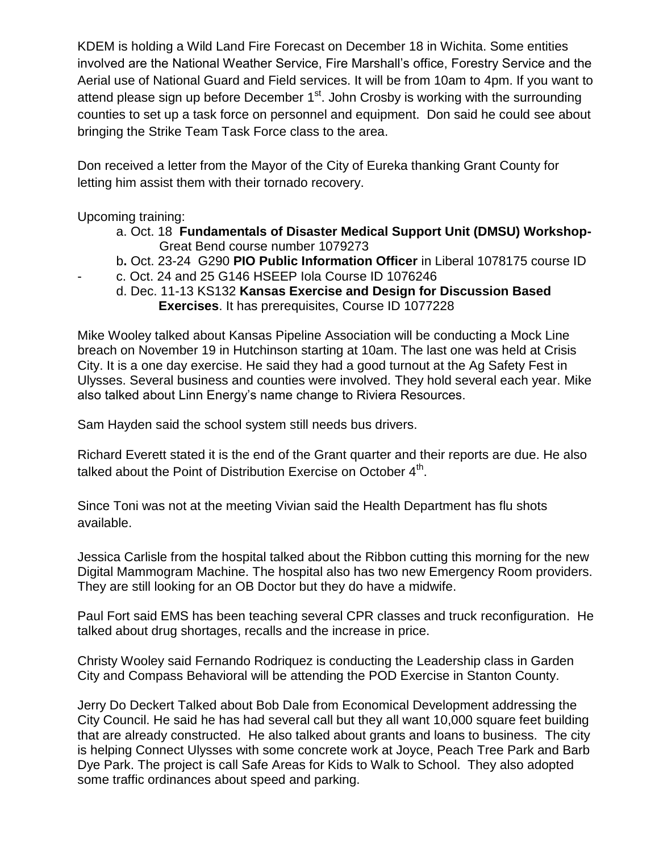KDEM is holding a Wild Land Fire Forecast on December 18 in Wichita. Some entities involved are the National Weather Service, Fire Marshall's office, Forestry Service and the Aerial use of National Guard and Field services. It will be from 10am to 4pm. If you want to attend please sign up before December  $1<sup>st</sup>$ . John Crosby is working with the surrounding counties to set up a task force on personnel and equipment. Don said he could see about bringing the Strike Team Task Force class to the area.

Don received a letter from the Mayor of the City of Eureka thanking Grant County for letting him assist them with their tornado recovery.

Upcoming training:

- a. Oct. 18 **Fundamentals of Disaster Medical Support Unit (DMSU) Workshop-** Great Bend course number 1079273
- b**.** Oct. 23-24 G290 **PIO Public Information Officer** in Liberal 1078175 course ID
- c. Oct. 24 and 25 G146 HSEEP Iola Course ID 1076246
	- d. Dec. 11-13 KS132 **Kansas Exercise and Design for Discussion Based Exercises**. It has prerequisites, Course ID 1077228

Mike Wooley talked about Kansas Pipeline Association will be conducting a Mock Line breach on November 19 in Hutchinson starting at 10am. The last one was held at Crisis City. It is a one day exercise. He said they had a good turnout at the Ag Safety Fest in Ulysses. Several business and counties were involved. They hold several each year. Mike also talked about Linn Energy's name change to Riviera Resources.

Sam Hayden said the school system still needs bus drivers.

Richard Everett stated it is the end of the Grant quarter and their reports are due. He also talked about the Point of Distribution Exercise on October  $4^{\text{th}}$ .

Since Toni was not at the meeting Vivian said the Health Department has flu shots available.

Jessica Carlisle from the hospital talked about the Ribbon cutting this morning for the new Digital Mammogram Machine. The hospital also has two new Emergency Room providers. They are still looking for an OB Doctor but they do have a midwife.

Paul Fort said EMS has been teaching several CPR classes and truck reconfiguration. He talked about drug shortages, recalls and the increase in price.

Christy Wooley said Fernando Rodriquez is conducting the Leadership class in Garden City and Compass Behavioral will be attending the POD Exercise in Stanton County.

Jerry Do Deckert Talked about Bob Dale from Economical Development addressing the City Council. He said he has had several call but they all want 10,000 square feet building that are already constructed. He also talked about grants and loans to business. The city is helping Connect Ulysses with some concrete work at Joyce, Peach Tree Park and Barb Dye Park. The project is call Safe Areas for Kids to Walk to School. They also adopted some traffic ordinances about speed and parking.